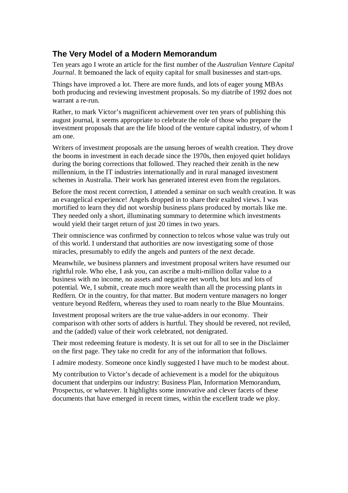# **The Very Model of a Modern Memorandum**

Ten years ago I wrote an article for the first number of the *Australian Venture Capital Journal*. It bemoaned the lack of equity capital for small businesses and start-ups.

Things have improved a lot. There are more funds, and lots of eager young MBAs both producing and reviewing investment proposals. So my diatribe of 1992 does not warrant a re-run.

Rather, to mark Victor's magnificent achievement over ten years of publishing this august journal, it seems appropriate to celebrate the role of those who prepare the investment proposals that are the life blood of the venture capital industry, of whom I am one.

Writers of investment proposals are the unsung heroes of wealth creation. They drove the booms in investment in each decade since the 1970s, then enjoyed quiet holidays during the boring corrections that followed. They reached their zenith in the new millennium, in the IT industries internationally and in rural managed investment schemes in Australia. Their work has generated interest even from the regulators.

Before the most recent correction, I attended a seminar on such wealth creation. It was an evangelical experience! Angels dropped in to share their exalted views. I was mortified to learn they did not worship business plans produced by mortals like me. They needed only a short, illuminating summary to determine which investments would yield their target return of just 20 times in two years.

Their omniscience was confirmed by connection to telcos whose value was truly out of this world. I understand that authorities are now investigating some of those miracles, presumably to edify the angels and punters of the next decade.

Meanwhile, we business planners and investment proposal writers have resumed our rightful role. Who else, I ask you, can ascribe a multi-million dollar value to a business with no income, no assets and negative net worth, but lots and lots of potential. We, I submit, create much more wealth than all the processing plants in Redfern. Or in the country, for that matter. But modern venture managers no longer venture beyond Redfern, whereas they used to roam nearly to the Blue Mountains.

Investment proposal writers are the true value-adders in our economy. Their comparison with other sorts of adders is hurtful. They should be revered, not reviled, and the (added) value of their work celebrated, not denigrated.

Their most redeeming feature is modesty. It is set out for all to see in the Disclaimer on the first page. They take no credit for any of the information that follows.

I admire modesty. Someone once kindly suggested I have much to be modest about.

My contribution to Victor's decade of achievement is a model for the ubiquitous document that underpins our industry: Business Plan, Information Memorandum, Prospectus, or whatever. It highlights some innovative and clever facets of these documents that have emerged in recent times, within the excellent trade we ploy.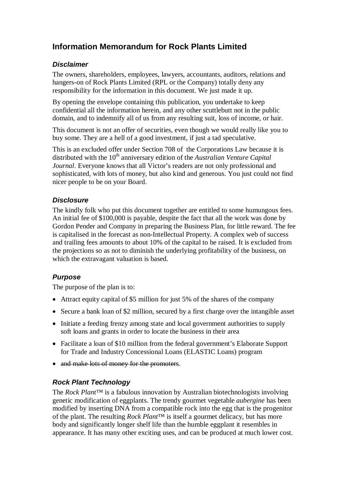# **Information Memorandum for Rock Plants Limited**

#### *Disclaimer*

The owners, shareholders, employees, lawyers, accountants, auditors, relations and hangers-on of Rock Plants Limited (RPL or the Company) totally deny any responsibility for the information in this document. We just made it up.

By opening the envelope containing this publication, you undertake to keep confidential all the information herein, and any other scuttlebutt not in the public domain, and to indemnify all of us from any resulting suit, loss of income, or hair.

This document is not an offer of securities, even though we would really like you to buy some. They are a hell of a good investment, if just a tad speculative.

This is an excluded offer under Section 708 of the Corporations Law because it is distributed with the 10<sup>th</sup> anniversary edition of the *Australian Venture Capital Journal*. Everyone knows that all Victor's readers are not only professional and sophisticated, with lots of money, but also kind and generous. You just could not find nicer people to be on your Board.

#### *Disclosure*

The kindly folk who put this document together are entitled to some humungous fees. An initial fee of \$100,000 is payable, despite the fact that all the work was done by Gordon Pender and Company in preparing the Business Plan, for little reward. The fee is capitalised in the forecast as non-Intellectual Property. A complex web of success and trailing fees amounts to about 10% of the capital to be raised. It is excluded from the projections so as not to diminish the underlying profitability of the business, on which the extravagant valuation is based.

## *Purpose*

The purpose of the plan is to:

- Attract equity capital of \$5 million for just 5% of the shares of the company
- Secure a bank loan of \$2 million, secured by a first charge over the intangible asset
- Initiate a feeding frenzy among state and local government authorities to supply soft loans and grants in order to locate the business in their area
- Facilitate a loan of \$10 million from the federal government's Elaborate Support for Trade and Industry Concessional Loans (ELASTIC Loans) program
- and make lots of money for the promoters.

## *Rock Plant Technology*

The *Rock Plant*™ is a fabulous innovation by Australian biotechnologists involving genetic modification of eggplants. The trendy gourmet vegetable *aubergine* has been modified by inserting DNA from a compatible rock into the egg that is the progenitor of the plant. The resulting *Rock Plant*™ is itself a gourmet delicacy, but has more body and significantly longer shelf life than the humble eggplant it resembles in appearance. It has many other exciting uses, and can be produced at much lower cost.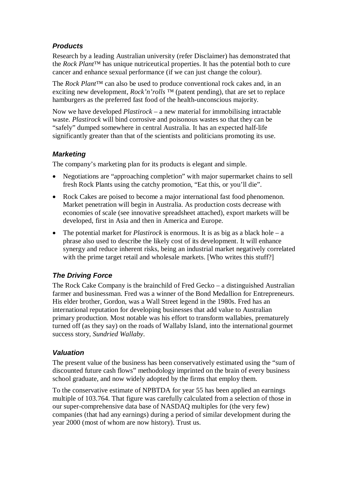#### *Products*

Research by a leading Australian university (refer Disclaimer) has demonstrated that the *Rock Plant*™ has unique nutriceutical properties. It has the potential both to cure cancer and enhance sexual performance (if we can just change the colour).

The *Rock Plant*™ can also be used to produce conventional rock cakes and, in an exciting new development, *Rock'n'rolls* ™ (patent pending), that are set to replace hamburgers as the preferred fast food of the health-unconscious majority.

Now we have developed *Plastirock* – a new material for immobilising intractable waste. *Plastirock* will bind corrosive and poisonous wastes so that they can be "safely" dumped somewhere in central Australia. It has an expected half-life significantly greater than that of the scientists and politicians promoting its use.

#### *Marketing*

The company's marketing plan for its products is elegant and simple.

- Negotiations are "approaching completion" with major supermarket chains to sell fresh Rock Plants using the catchy promotion, "Eat this, or you'll die".
- Rock Cakes are poised to become a major international fast food phenomenon. Market penetration will begin in Australia. As production costs decrease with economies of scale (see innovative spreadsheet attached), export markets will be developed, first in Asia and then in America and Europe.
- The potential market for *Plastirock* is enormous. It is as big as a black hole a phrase also used to describe the likely cost of its development. It will enhance synergy and reduce inherent risks, being an industrial market negatively correlated with the prime target retail and wholesale markets. [Who writes this stuff?]

# *The Driving Force*

The Rock Cake Company is the brainchild of Fred Gecko – a distinguished Australian farmer and businessman. Fred was a winner of the Bond Medallion for Entrepreneurs. His elder brother, Gordon, was a Wall Street legend in the 1980s. Fred has an international reputation for developing businesses that add value to Australian primary production. Most notable was his effort to transform wallabies, prematurely turned off (as they say) on the roads of Wallaby Island, into the international gourmet success story, *Sundried Wallaby*.

#### *Valuation*

The present value of the business has been conservatively estimated using the "sum of discounted future cash flows" methodology imprinted on the brain of every business school graduate, and now widely adopted by the firms that employ them.

To the conservative estimate of NPBTDA for year 55 has been applied an earnings multiple of 103.764. That figure was carefully calculated from a selection of those in our super-comprehensive data base of NASDAQ multiples for (the very few) companies (that had any earnings) during a period of similar development during the year 2000 (most of whom are now history). Trust us.